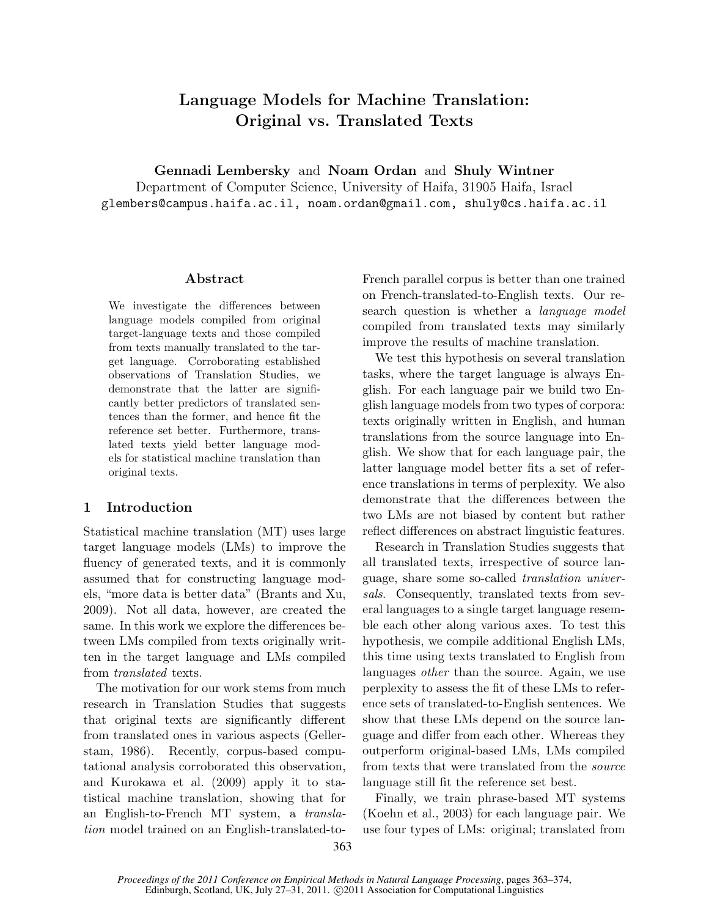# Language Models for Machine Translation: Original vs. Translated Texts

Gennadi Lembersky and Noam Ordan and Shuly Wintner Department of Computer Science, University of Haifa, 31905 Haifa, Israel glembers@campus.haifa.ac.il, noam.ordan@gmail.com, shuly@cs.haifa.ac.il

# Abstract

We investigate the differences between language models compiled from original target-language texts and those compiled from texts manually translated to the target language. Corroborating established observations of Translation Studies, we demonstrate that the latter are significantly better predictors of translated sentences than the former, and hence fit the reference set better. Furthermore, translated texts yield better language models for statistical machine translation than original texts.

# 1 Introduction

Statistical machine translation (MT) uses large target language models (LMs) to improve the fluency of generated texts, and it is commonly assumed that for constructing language models, "more data is better data" (Brants and Xu, 2009). Not all data, however, are created the same. In this work we explore the differences between LMs compiled from texts originally written in the target language and LMs compiled from translated texts.

The motivation for our work stems from much research in Translation Studies that suggests that original texts are significantly different from translated ones in various aspects (Gellerstam, 1986). Recently, corpus-based computational analysis corroborated this observation, and Kurokawa et al. (2009) apply it to statistical machine translation, showing that for an English-to-French MT system, a translation model trained on an English-translated-toFrench parallel corpus is better than one trained on French-translated-to-English texts. Our research question is whether a language model compiled from translated texts may similarly improve the results of machine translation.

We test this hypothesis on several translation tasks, where the target language is always English. For each language pair we build two English language models from two types of corpora: texts originally written in English, and human translations from the source language into English. We show that for each language pair, the latter language model better fits a set of reference translations in terms of perplexity. We also demonstrate that the differences between the two LMs are not biased by content but rather reflect differences on abstract linguistic features.

Research in Translation Studies suggests that all translated texts, irrespective of source language, share some so-called translation universals. Consequently, translated texts from several languages to a single target language resemble each other along various axes. To test this hypothesis, we compile additional English LMs, this time using texts translated to English from languages *other* than the source. Again, we use perplexity to assess the fit of these LMs to reference sets of translated-to-English sentences. We show that these LMs depend on the source language and differ from each other. Whereas they outperform original-based LMs, LMs compiled from texts that were translated from the source language still fit the reference set best.

Finally, we train phrase-based MT systems (Koehn et al., 2003) for each language pair. We use four types of LMs: original; translated from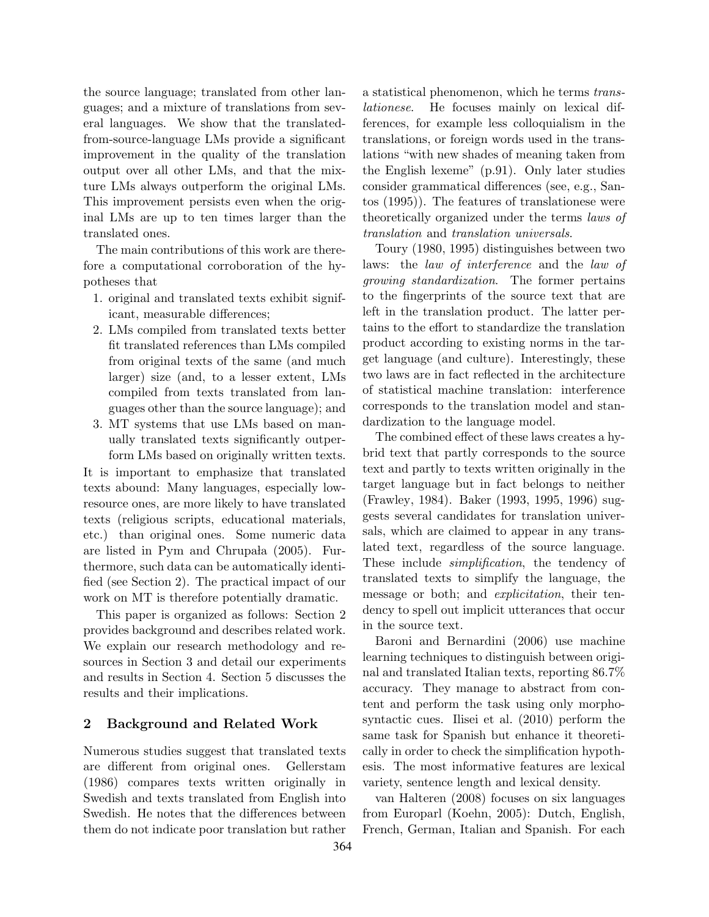the source language; translated from other languages; and a mixture of translations from several languages. We show that the translatedfrom-source-language LMs provide a significant improvement in the quality of the translation output over all other LMs, and that the mixture LMs always outperform the original LMs. This improvement persists even when the original LMs are up to ten times larger than the translated ones.

The main contributions of this work are therefore a computational corroboration of the hypotheses that

- 1. original and translated texts exhibit significant, measurable differences;
- 2. LMs compiled from translated texts better fit translated references than LMs compiled from original texts of the same (and much larger) size (and, to a lesser extent, LMs compiled from texts translated from languages other than the source language); and
- 3. MT systems that use LMs based on manually translated texts significantly outperform LMs based on originally written texts.

It is important to emphasize that translated texts abound: Many languages, especially lowresource ones, are more likely to have translated texts (religious scripts, educational materials, etc.) than original ones. Some numeric data are listed in Pym and Chrupala  $(2005)$ . Furthermore, such data can be automatically identified (see Section 2). The practical impact of our work on MT is therefore potentially dramatic.

This paper is organized as follows: Section 2 provides background and describes related work. We explain our research methodology and resources in Section 3 and detail our experiments and results in Section 4. Section 5 discusses the results and their implications.

# 2 Background and Related Work

Numerous studies suggest that translated texts are different from original ones. Gellerstam (1986) compares texts written originally in Swedish and texts translated from English into Swedish. He notes that the differences between them do not indicate poor translation but rather

a statistical phenomenon, which he terms translationese. He focuses mainly on lexical differences, for example less colloquialism in the translations, or foreign words used in the translations "with new shades of meaning taken from the English lexeme" (p.91). Only later studies consider grammatical differences (see, e.g., Santos (1995)). The features of translationese were theoretically organized under the terms laws of translation and translation universals.

Toury (1980, 1995) distinguishes between two laws: the law of interference and the law of growing standardization. The former pertains to the fingerprints of the source text that are left in the translation product. The latter pertains to the effort to standardize the translation product according to existing norms in the target language (and culture). Interestingly, these two laws are in fact reflected in the architecture of statistical machine translation: interference corresponds to the translation model and standardization to the language model.

The combined effect of these laws creates a hybrid text that partly corresponds to the source text and partly to texts written originally in the target language but in fact belongs to neither (Frawley, 1984). Baker (1993, 1995, 1996) suggests several candidates for translation universals, which are claimed to appear in any translated text, regardless of the source language. These include *simplification*, the tendency of translated texts to simplify the language, the message or both; and explicitation, their tendency to spell out implicit utterances that occur in the source text.

Baroni and Bernardini (2006) use machine learning techniques to distinguish between original and translated Italian texts, reporting 86.7% accuracy. They manage to abstract from content and perform the task using only morphosyntactic cues. Ilisei et al. (2010) perform the same task for Spanish but enhance it theoretically in order to check the simplification hypothesis. The most informative features are lexical variety, sentence length and lexical density.

van Halteren (2008) focuses on six languages from Europarl (Koehn, 2005): Dutch, English, French, German, Italian and Spanish. For each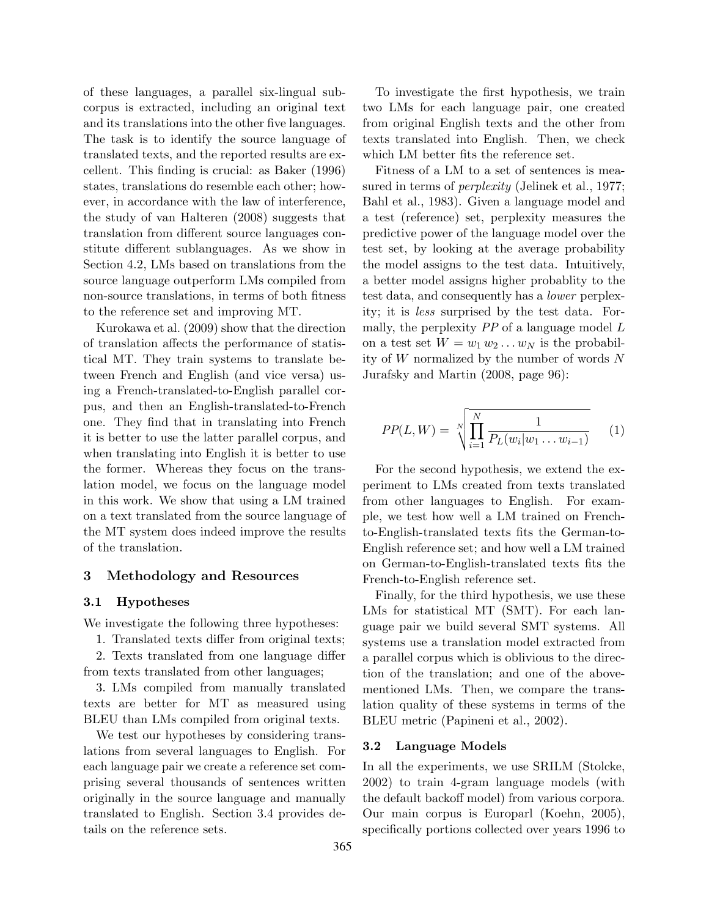of these languages, a parallel six-lingual subcorpus is extracted, including an original text and its translations into the other five languages. The task is to identify the source language of translated texts, and the reported results are excellent. This finding is crucial: as Baker (1996) states, translations do resemble each other; however, in accordance with the law of interference, the study of van Halteren (2008) suggests that translation from different source languages constitute different sublanguages. As we show in Section 4.2, LMs based on translations from the source language outperform LMs compiled from non-source translations, in terms of both fitness to the reference set and improving MT.

Kurokawa et al. (2009) show that the direction of translation affects the performance of statistical MT. They train systems to translate between French and English (and vice versa) using a French-translated-to-English parallel corpus, and then an English-translated-to-French one. They find that in translating into French it is better to use the latter parallel corpus, and when translating into English it is better to use the former. Whereas they focus on the translation model, we focus on the language model in this work. We show that using a LM trained on a text translated from the source language of the MT system does indeed improve the results of the translation.

## 3 Methodology and Resources

#### 3.1 Hypotheses

We investigate the following three hypotheses:

1. Translated texts differ from original texts;

2. Texts translated from one language differ from texts translated from other languages;

3. LMs compiled from manually translated texts are better for MT as measured using BLEU than LMs compiled from original texts.

We test our hypotheses by considering translations from several languages to English. For each language pair we create a reference set comprising several thousands of sentences written originally in the source language and manually translated to English. Section 3.4 provides details on the reference sets.

To investigate the first hypothesis, we train two LMs for each language pair, one created from original English texts and the other from texts translated into English. Then, we check which LM better fits the reference set.

Fitness of a LM to a set of sentences is measured in terms of *perplexity* (Jelinek et al., 1977; Bahl et al., 1983). Given a language model and a test (reference) set, perplexity measures the predictive power of the language model over the test set, by looking at the average probability the model assigns to the test data. Intuitively, a better model assigns higher probablity to the test data, and consequently has a lower perplexity; it is less surprised by the test data. Formally, the perplexity  $PP$  of a language model  $L$ on a test set  $W = w_1 w_2 ... w_N$  is the probability of W normalized by the number of words N Jurafsky and Martin (2008, page 96):

$$
PP(L, W) = \sqrt[N]{\prod_{i=1}^{N} \frac{1}{P_L(w_i|w_1 \dots w_{i-1})}}
$$
 (1)

For the second hypothesis, we extend the experiment to LMs created from texts translated from other languages to English. For example, we test how well a LM trained on Frenchto-English-translated texts fits the German-to-English reference set; and how well a LM trained on German-to-English-translated texts fits the French-to-English reference set.

Finally, for the third hypothesis, we use these LMs for statistical MT (SMT). For each language pair we build several SMT systems. All systems use a translation model extracted from a parallel corpus which is oblivious to the direction of the translation; and one of the abovementioned LMs. Then, we compare the translation quality of these systems in terms of the BLEU metric (Papineni et al., 2002).

## 3.2 Language Models

In all the experiments, we use SRILM (Stolcke, 2002) to train 4-gram language models (with the default backoff model) from various corpora. Our main corpus is Europarl (Koehn, 2005), specifically portions collected over years 1996 to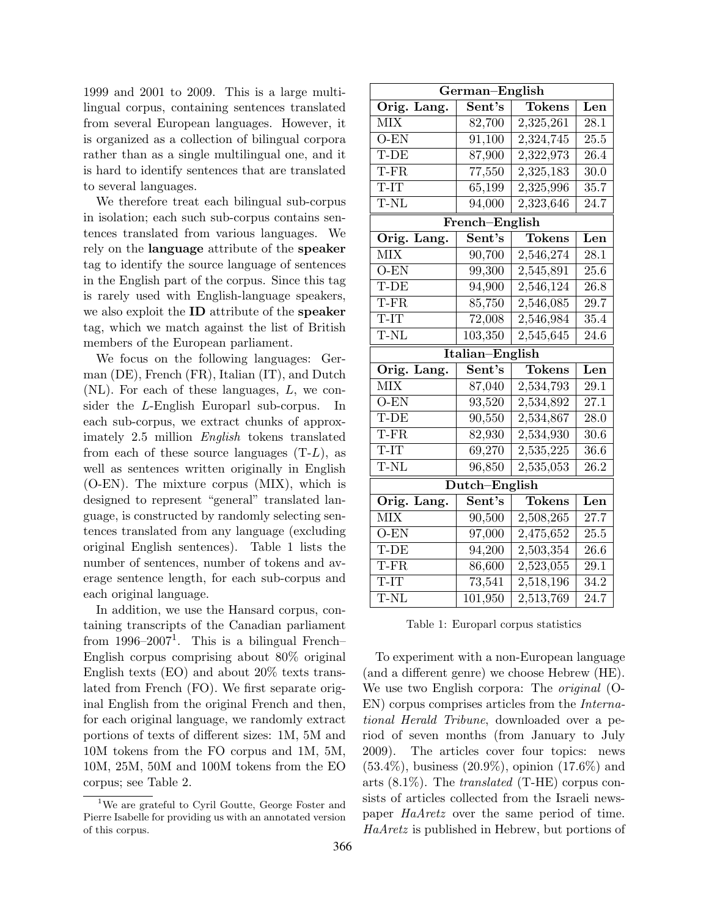1999 and 2001 to 2009. This is a large multilingual corpus, containing sentences translated from several European languages. However, it is organized as a collection of bilingual corpora rather than as a single multilingual one, and it is hard to identify sentences that are translated to several languages.

We therefore treat each bilingual sub-corpus in isolation; each such sub-corpus contains sentences translated from various languages. We rely on the language attribute of the speaker tag to identify the source language of sentences in the English part of the corpus. Since this tag is rarely used with English-language speakers, we also exploit the ID attribute of the speaker tag, which we match against the list of British members of the European parliament.

We focus on the following languages: German (DE), French (FR), Italian (IT), and Dutch (NL). For each of these languages, L, we consider the L-English Europarl sub-corpus. In each sub-corpus, we extract chunks of approximately 2.5 million English tokens translated from each of these source languages  $(T-L)$ , as well as sentences written originally in English (O-EN). The mixture corpus (MIX), which is designed to represent "general" translated language, is constructed by randomly selecting sentences translated from any language (excluding original English sentences). Table 1 lists the number of sentences, number of tokens and average sentence length, for each sub-corpus and each original language.

In addition, we use the Hansard corpus, containing transcripts of the Canadian parliament from  $1996-2007<sup>1</sup>$ . This is a bilingual French-English corpus comprising about 80% original English texts (EO) and about 20% texts translated from French (FO). We first separate original English from the original French and then, for each original language, we randomly extract portions of texts of different sizes: 1M, 5M and 10M tokens from the FO corpus and 1M, 5M, 10M, 25M, 50M and 100M tokens from the EO corpus; see Table 2.

| German-English                  |                                        |               |                             |  |  |
|---------------------------------|----------------------------------------|---------------|-----------------------------|--|--|
| Orig. Lang.                     | Sent's                                 | <b>Tokens</b> | Len                         |  |  |
| <b>MIX</b>                      | 82,700                                 | 2,325,261     | 28.1                        |  |  |
| $O$ -EN                         | 91,100                                 | 2,324,745     | 25.5                        |  |  |
| T-DE                            | 87,900                                 | 2,322,973     | 26.4                        |  |  |
| T-FR                            | $\overline{77},550$                    | 2,325,183     | 30.0                        |  |  |
| $\overline{T-IT}$               | 65,199                                 | 2,325,996     | 35.7                        |  |  |
| T-NL                            | 94,000                                 | 2,323,646     | 24.7                        |  |  |
|                                 | French-English                         |               |                             |  |  |
| Orig. Lang.                     | $\operatorname{Sent}'\operatorname{s}$ | <b>Tokens</b> | $\mathop{\rm Len}\nolimits$ |  |  |
| $\overline{\text{MIX}}$         | 90,700                                 | 2,546,274     | 28.1                        |  |  |
| $O$ -EN                         | 99,300                                 | 2,545,891     | 25.6                        |  |  |
| T-DE                            | 94,900                                 | 2,546,124     | 26.8                        |  |  |
| T-FR                            | 85,750                                 | 2,546,085     | 29.7                        |  |  |
| $\overline{T}$ -IT              | 72,008                                 | 2,546,984     | 35.4                        |  |  |
| T-NL                            | 103,350                                | 2,545,645     | 24.6                        |  |  |
| Italian-English                 |                                        |               |                             |  |  |
|                                 |                                        |               |                             |  |  |
| Orig. Lang.                     | Sent's                                 | <b>Tokens</b> | Len                         |  |  |
| <b>MIX</b>                      | 87,040                                 | 2,534,793     | 29.1                        |  |  |
| $\overline{\text{O-EN}}$        | 93,520                                 | 2,534,892     | 27.1                        |  |  |
| T-DE                            | 90,550                                 | 2,534,867     | 28.0                        |  |  |
| $\overline{T}$ -FR              | 82,930                                 | 2,534,930     | 30.6                        |  |  |
| T-IT                            | $\overline{69,270}$                    | 2,535,225     | 36.6                        |  |  |
| T-NL                            | 96,850                                 | 2,535,053     | 26.2                        |  |  |
|                                 | Dutch-English                          |               |                             |  |  |
| Orig. Lang.                     | $\operatorname{Sent}'\operatorname{s}$ | Tokens        | $\overline{\text{Len}}$     |  |  |
| <b>MIX</b>                      | 90,500                                 | 2,508,265     | 27.7                        |  |  |
| $O$ -EN                         | 97,000                                 | 2,475,652     | 25.5                        |  |  |
| T-DE                            | 94,200                                 | 2,503,354     | 26.6                        |  |  |
| T-FR                            | 86,600                                 | 2,523,055     | 29.1                        |  |  |
| $\overline{\text{T-}}\text{IT}$ | 73,541                                 | 2,518,196     | 34.2                        |  |  |

Table 1: Europarl corpus statistics

To experiment with a non-European language (and a different genre) we choose Hebrew (HE). We use two English corpora: The *original* (O-EN) corpus comprises articles from the International Herald Tribune, downloaded over a period of seven months (from January to July 2009). The articles cover four topics: news (53.4%), business (20.9%), opinion (17.6%) and arts (8.1%). The translated (T-HE) corpus consists of articles collected from the Israeli newspaper HaAretz over the same period of time. HaAretz is published in Hebrew, but portions of

<sup>&</sup>lt;sup>1</sup>We are grateful to Cyril Goutte, George Foster and Pierre Isabelle for providing us with an annotated version of this corpus.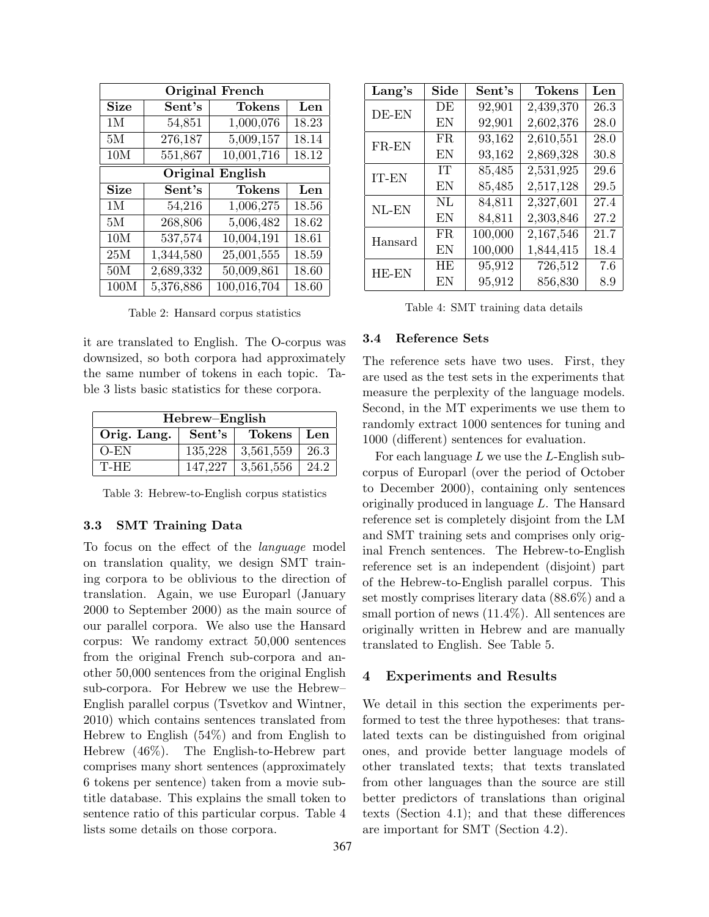| <b>Original French</b> |           |                         |       |  |  |
|------------------------|-----------|-------------------------|-------|--|--|
| <b>Size</b>            | Sent's    | Tokens                  | Len   |  |  |
| 1M                     | 54,851    | 1,000,076               | 18.23 |  |  |
| 5M                     | 276,187   | 5,009,157               | 18.14 |  |  |
| 10M                    | 551,867   | 10,001,716              | 18.12 |  |  |
|                        |           | <b>Original English</b> |       |  |  |
| <b>Size</b>            | Sent's    | Tokens                  | Len   |  |  |
| 1M                     | 54,216    | 1,006,275               | 18.56 |  |  |
| 5M                     | 268,806   | 5,006,482               | 18.62 |  |  |
| 10M                    | 537,574   | 10,004,191              | 18.61 |  |  |
| 25M                    | 1,344,580 | 25,001,555              | 18.59 |  |  |
| 50M                    | 2,689,332 | 50,009,861              | 18.60 |  |  |
| 100M                   | 5,376,886 | 100,016,704             | 18.60 |  |  |

Table 2: Hansard corpus statistics

it are translated to English. The O-corpus was downsized, so both corpora had approximately the same number of tokens in each topic. Table 3 lists basic statistics for these corpora.

| Hebrew-English                      |         |                              |  |  |
|-------------------------------------|---------|------------------------------|--|--|
| Orig. Lang.   Sent's   Tokens   Len |         |                              |  |  |
| O-EN                                | 135,228 | $3,561,559$   26.3           |  |  |
| T-HE                                |         | $147,227$   3,561,556   24.2 |  |  |

Table 3: Hebrew-to-English corpus statistics

### 3.3 SMT Training Data

To focus on the effect of the language model on translation quality, we design SMT training corpora to be oblivious to the direction of translation. Again, we use Europarl (January 2000 to September 2000) as the main source of our parallel corpora. We also use the Hansard corpus: We randomy extract 50,000 sentences from the original French sub-corpora and another 50,000 sentences from the original English sub-corpora. For Hebrew we use the Hebrew– English parallel corpus (Tsvetkov and Wintner, 2010) which contains sentences translated from Hebrew to English (54%) and from English to Hebrew (46%). The English-to-Hebrew part comprises many short sentences (approximately 6 tokens per sentence) taken from a movie subtitle database. This explains the small token to sentence ratio of this particular corpus. Table 4 lists some details on those corpora.

| Lang's  | Side      | Sent's  | Tokens    | Len  |
|---------|-----------|---------|-----------|------|
| DE-EN   | DE        | 92,901  | 2,439,370 | 26.3 |
|         | EN        | 92,901  | 2,602,376 | 28.0 |
| FR-EN   | FR.       | 93,162  | 2,610,551 | 28.0 |
|         | EN        | 93,162  | 2,869,328 | 30.8 |
| IT-EN   | <b>TT</b> | 85,485  | 2,531,925 | 29.6 |
|         | EN        | 85,485  | 2,517,128 | 29.5 |
| NL-EN   | NL        | 84,811  | 2,327,601 | 27.4 |
|         | EN        | 84,811  | 2,303,846 | 27.2 |
| Hansard | FR.       | 100,000 | 2,167,546 | 21.7 |
|         | EN        | 100,000 | 1,844,415 | 18.4 |
| HE-EN   | HE        | 95,912  | 726,512   | 7.6  |
|         | EN        | 95,912  | 856,830   | 8.9  |

Table 4: SMT training data details

#### 3.4 Reference Sets

The reference sets have two uses. First, they are used as the test sets in the experiments that measure the perplexity of the language models. Second, in the MT experiments we use them to randomly extract 1000 sentences for tuning and 1000 (different) sentences for evaluation.

For each language  $L$  we use the  $L$ -English subcorpus of Europarl (over the period of October to December 2000), containing only sentences originally produced in language L. The Hansard reference set is completely disjoint from the LM and SMT training sets and comprises only original French sentences. The Hebrew-to-English reference set is an independent (disjoint) part of the Hebrew-to-English parallel corpus. This set mostly comprises literary data (88.6%) and a small portion of news (11.4%). All sentences are originally written in Hebrew and are manually translated to English. See Table 5.

## 4 Experiments and Results

We detail in this section the experiments performed to test the three hypotheses: that translated texts can be distinguished from original ones, and provide better language models of other translated texts; that texts translated from other languages than the source are still better predictors of translations than original texts (Section 4.1); and that these differences are important for SMT (Section 4.2).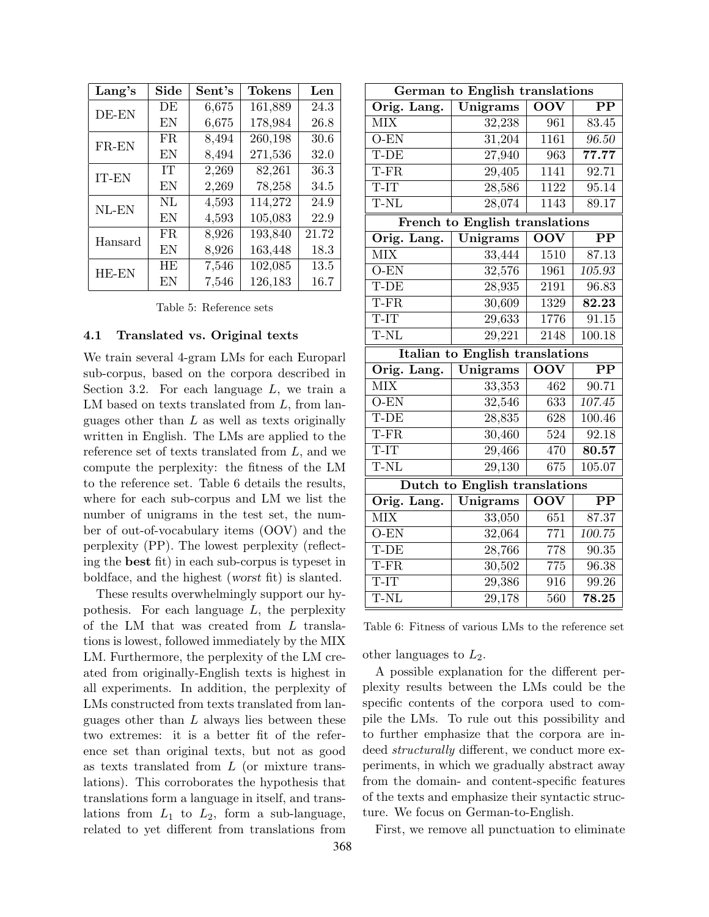| Lang's  | Side      | Sent's | Tokens  | Len   |
|---------|-----------|--------|---------|-------|
| DE-EN   | DE        | 6,675  | 161,889 | 24.3  |
|         | EN        | 6,675  | 178,984 | 26.8  |
| FR-EN   | <b>FR</b> | 8,494  | 260,198 | 30.6  |
|         | EN        | 8,494  | 271,536 | 32.0  |
| IT-EN   | IТ        | 2,269  | 82,261  | 36.3  |
|         | EN        | 2,269  | 78,258  | 34.5  |
| NL-EN   | NL        | 4,593  | 114,272 | 24.9  |
|         | EN        | 4,593  | 105,083 | 22.9  |
| Hansard | FR.       | 8,926  | 193,840 | 21.72 |
|         | EN        | 8,926  | 163,448 | 18.3  |
| HE-EN   | <b>HE</b> | 7,546  | 102,085 | 13.5  |
|         | EN        | 7,546  | 126,183 | 16.7  |

Table 5: Reference sets

### 4.1 Translated vs. Original texts

We train several 4-gram LMs for each Europarl sub-corpus, based on the corpora described in Section 3.2. For each language  $L$ , we train a LM based on texts translated from L, from languages other than  $L$  as well as texts originally written in English. The LMs are applied to the reference set of texts translated from  $L$ , and we compute the perplexity: the fitness of the LM to the reference set. Table 6 details the results, where for each sub-corpus and LM we list the number of unigrams in the test set, the number of out-of-vocabulary items (OOV) and the perplexity (PP). The lowest perplexity (reflecting the best fit) in each sub-corpus is typeset in boldface, and the highest (worst fit) is slanted.

These results overwhelmingly support our hypothesis. For each language  $L$ , the perplexity of the LM that was created from L translations is lowest, followed immediately by the MIX LM. Furthermore, the perplexity of the LM created from originally-English texts is highest in all experiments. In addition, the perplexity of LMs constructed from texts translated from languages other than  $L$  always lies between these two extremes: it is a better fit of the reference set than original texts, but not as good as texts translated from L (or mixture translations). This corroborates the hypothesis that translations form a language in itself, and translations from  $L_1$  to  $L_2$ , form a sub-language, related to yet different from translations from

| German to English translations  |                                |            |                        |  |
|---------------------------------|--------------------------------|------------|------------------------|--|
| Orig. Lang.                     | Unigrams                       | <b>OOV</b> | $\bf PP$               |  |
| <b>MIX</b>                      | 32,238                         | 961        | $\overline{8}3.45$     |  |
| $O-EN$                          | 31,204                         | 1161       | 96.50                  |  |
| T-DE                            | 27,940                         | 963        | 77.77                  |  |
| T-FR                            | 29,405                         | 1141       | 92.71                  |  |
| $T-IT$                          | 28,586                         | 1122       | $\overline{95.14}$     |  |
| T-NL                            | 28,074                         | 1143       | 89.17                  |  |
|                                 | French to English translations |            |                        |  |
| Orig. Lang.                     | Unigrams                       | <b>OOV</b> | $\overline{\text{PP}}$ |  |
| <b>MIX</b>                      | 33,444                         | 1510       | 87.13                  |  |
| $O-EN$                          | 32,576                         | 1961       | 105.93                 |  |
| T-DE                            | 28,935                         | 2191       | 96.83                  |  |
| T-FR                            | 30,609                         | 1329       | 82.23                  |  |
| T-IT                            | 29,633                         | 1776       | 91.15                  |  |
| T-NL                            | 29,221                         | 2148       | 100.18                 |  |
| Italian to English translations |                                |            |                        |  |
|                                 |                                |            |                        |  |
| Orig. Lang.                     | Unigrams                       | <b>OOV</b> | $\bf PP$               |  |
| <b>MIX</b>                      | 33,353                         | 462        | 90.71                  |  |
| $O-EN$                          | 32,546                         | 633        | 107.45                 |  |
| T-DE                            | 28,835                         | 628        | 100.46                 |  |
| $T-FR$                          | 30,460                         | 524        | 92.18                  |  |
| T-IT                            | 29,466                         | 470        | 80.57                  |  |
| T-NL                            | 29,130                         | 675        | 105.07                 |  |
|                                 | Dutch to English translations  |            |                        |  |
| Orig. Lang.                     | Unigrams                       | <b>OOV</b> | $\overline{\text{PP}}$ |  |
| <b>MIX</b>                      | 33,050                         | 651        | 87.37                  |  |
| $O$ -EN                         | 32,064                         | 771        | 100.75                 |  |
| T-DE                            | 28,766                         | 778        | 90.35                  |  |
| T-FR                            | 30,502                         | 775        | 96.38                  |  |
| T-IT                            | 29,386                         | 916        | 99.26                  |  |

Table 6: Fitness of various LMs to the reference set

other languages to  $L_2$ .

A possible explanation for the different perplexity results between the LMs could be the specific contents of the corpora used to compile the LMs. To rule out this possibility and to further emphasize that the corpora are indeed *structurally* different, we conduct more experiments, in which we gradually abstract away from the domain- and content-specific features of the texts and emphasize their syntactic structure. We focus on German-to-English.

First, we remove all punctuation to eliminate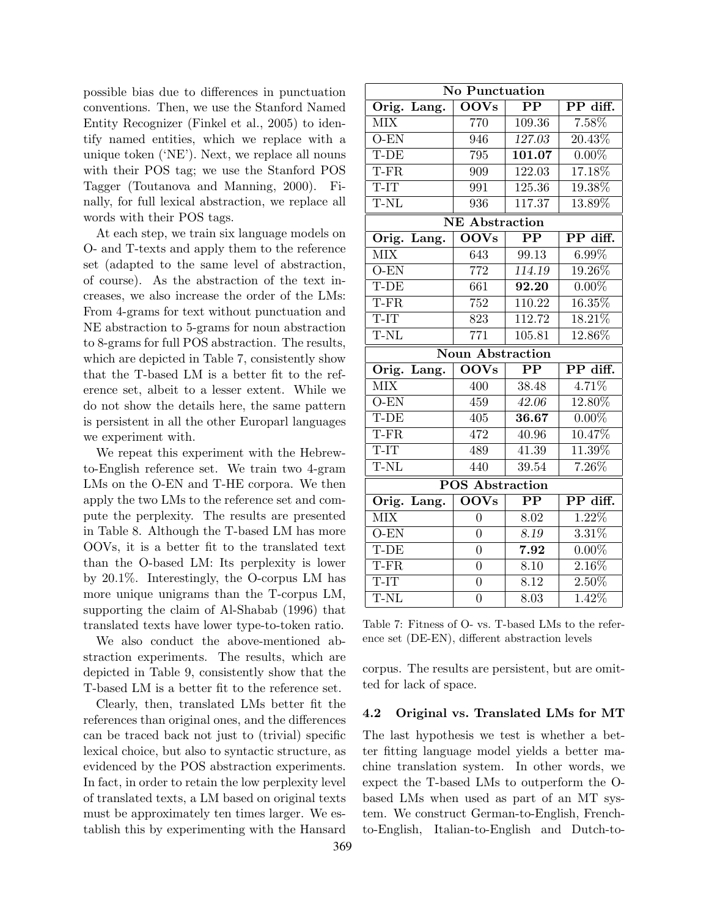possible bias due to differences in punctuation conventions. Then, we use the Stanford Named Entity Recognizer (Finkel et al., 2005) to identify named entities, which we replace with a unique token ('NE'). Next, we replace all nouns with their POS tag; we use the Stanford POS Tagger (Toutanova and Manning, 2000). Finally, for full lexical abstraction, we replace all words with their POS tags.

At each step, we train six language models on O- and T-texts and apply them to the reference set (adapted to the same level of abstraction, of course). As the abstraction of the text increases, we also increase the order of the LMs: From 4-grams for text without punctuation and NE abstraction to 5-grams for noun abstraction to 8-grams for full POS abstraction. The results, which are depicted in Table 7, consistently show that the T-based LM is a better fit to the reference set, albeit to a lesser extent. While we do not show the details here, the same pattern is persistent in all the other Europarl languages we experiment with.

We repeat this experiment with the Hebrewto-English reference set. We train two 4-gram LMs on the O-EN and T-HE corpora. We then apply the two LMs to the reference set and compute the perplexity. The results are presented in Table 8. Although the T-based LM has more OOVs, it is a better fit to the translated text than the O-based LM: Its perplexity is lower by 20.1%. Interestingly, the O-corpus LM has more unique unigrams than the T-corpus LM, supporting the claim of Al-Shabab (1996) that translated texts have lower type-to-token ratio.

We also conduct the above-mentioned abstraction experiments. The results, which are depicted in Table 9, consistently show that the T-based LM is a better fit to the reference set.

Clearly, then, translated LMs better fit the references than original ones, and the differences can be traced back not just to (trivial) specific lexical choice, but also to syntactic structure, as evidenced by the POS abstraction experiments. In fact, in order to retain the low perplexity level of translated texts, a LM based on original texts must be approximately ten times larger. We establish this by experimenting with the Hansard

| <b>No Punctuation</b>    |             |                          |                    |           |
|--------------------------|-------------|--------------------------|--------------------|-----------|
|                          | Orig. Lang. | <b>OOVs</b>              | $\overline{PP}$    | PP diff.  |
| $\overline{\text{MIX}}$  |             | 770                      | 109.36             | 7.58%     |
| $O-EN$                   |             | 946                      | 127.03             | $20.43\%$ |
| T-DE                     |             | 795                      | 101.07             | $0.00\%$  |
| T-FR                     |             | $\overline{909}$         | 122.03             | 17.18%    |
| $T-IT$                   |             | 991                      | 125.36             | 19.38%    |
| T-NL                     |             | 936                      | 117.37             | 13.89%    |
|                          |             | <b>NE Abstraction</b>    |                    |           |
| Orig.                    | Lang.       | $\overline{\text{OOVs}}$ | $\overline{PP}$    | PP diff.  |
| <b>MIX</b>               |             | 643                      | 99.13              | 6.99%     |
| $O-EN$                   |             | $\overline{772}$         | 114.19             | 19.26%    |
| T-DE                     |             | 661                      | 92.20              | $0.00\%$  |
| T-FR                     |             | 752                      | 110.22             | 16.35%    |
| T-IT                     |             | 823                      | 112.72             | 18.21%    |
| T-NL                     |             | 771                      | 105.81             | 12.86%    |
|                          |             | Noun Abstraction         |                    |           |
| Orig.                    | Lang.       | <b>OOVs</b>              | $\overline{PP}$    | PP diff.  |
|                          |             |                          |                    |           |
| $\overline{\text{MIX}}$  |             | 400                      | 38.48              | 4.71%     |
| $\overline{\text{O-EN}}$ |             | 459                      | 42.06              | 12.80%    |
| T-DE                     |             | 405                      | $\overline{36.67}$ | $0.00\%$  |
| T-FR                     |             | 472                      | 40.96              | 10.47%    |
| T-IT                     |             | 489                      | 41.39              | 11.39%    |
| T-NL                     |             | 440                      | 39.54              | $7.26\%$  |
|                          |             | <b>POS</b> Abstraction   |                    |           |
|                          | Orig. Lang. | $\overline{\text{OOVs}}$ | $\bf PP$           | PP diff.  |
| <b>MIX</b>               |             | $\overline{0}$           | 8.02               | 1.22%     |
| $O$ -EN                  |             | $\overline{0}$           | 8.19               | 3.31%     |
| T-DE                     |             | $\overline{0}$           | 7.92               | $0.00\%$  |
| T-FR                     |             | $\overline{0}$           | 8.10               | 2.16%     |
| $T-IT$                   |             | $\overline{0}$           | 8.12               | 2.50%     |

Table 7: Fitness of O- vs. T-based LMs to the reference set (DE-EN), different abstraction levels

corpus. The results are persistent, but are omitted for lack of space.

# 4.2 Original vs. Translated LMs for MT

The last hypothesis we test is whether a better fitting language model yields a better machine translation system. In other words, we expect the T-based LMs to outperform the Obased LMs when used as part of an MT system. We construct German-to-English, Frenchto-English, Italian-to-English and Dutch-to-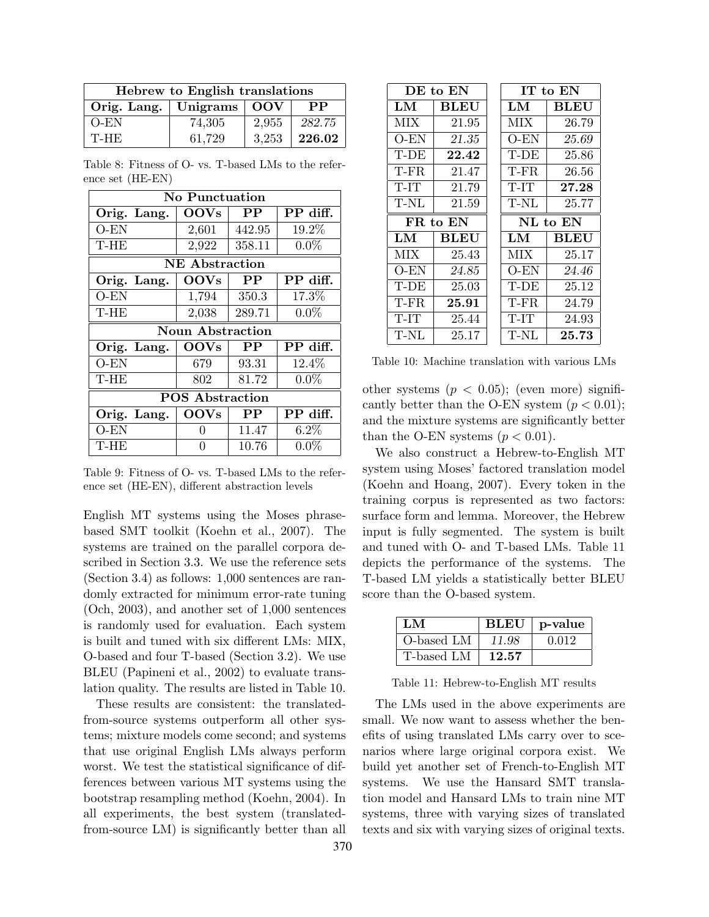| Hebrew to English translations |        |       |                                               |  |
|--------------------------------|--------|-------|-----------------------------------------------|--|
| Orig. Lang.   Unigrams   OOV   |        |       | $\bf PP$                                      |  |
| O-EN                           | 74,305 | 2,955 | 282.75                                        |  |
| <b>T-HE</b>                    | 61,729 | 3.253 | $\begin{array}{c} \boxed{226.02} \end{array}$ |  |

Table 8: Fitness of O- vs. T-based LMs to the reference set (HE-EN)

| <b>No Punctuation</b> |                         |           |          |  |
|-----------------------|-------------------------|-----------|----------|--|
| Orig. Lang.           | <b>OOVs</b>             | $\bf PP$  | PP diff. |  |
| $O-EN$                | 2,601                   | 442.95    | 19.2%    |  |
| T-HE                  | 2,922                   | 358.11    | $0.0\%$  |  |
|                       | <b>NE</b> Abstraction   |           |          |  |
| Orig. Lang.           | <b>OOVs</b>             | <b>PP</b> | PP diff. |  |
| O-EN                  | 1,794                   | 350.3     | 17.3%    |  |
| T-HE                  | 2,038                   | 289.71    | $0.0\%$  |  |
|                       | <b>Noun Abstraction</b> |           |          |  |
| Orig. Lang.           | <b>OOVs</b>             | <b>PP</b> | PP diff. |  |
| $O-EN$                | 679                     | 93.31     | 12.4%    |  |
| T-HE                  | 802                     | 81.72     | $0.0\%$  |  |
|                       | <b>POS Abstraction</b>  |           |          |  |
| Orig. Lang.           | <b>OOVs</b>             | $\bf PP$  | PP diff. |  |
| $O$ -EN               | $\mathbf{0}$            | 11.47     | $6.2\%$  |  |
| T-HE                  | 0                       | 10.76     | $0.0\%$  |  |

Table 9: Fitness of O- vs. T-based LMs to the reference set (HE-EN), different abstraction levels

English MT systems using the Moses phrasebased SMT toolkit (Koehn et al., 2007). The systems are trained on the parallel corpora described in Section 3.3. We use the reference sets (Section 3.4) as follows: 1,000 sentences are randomly extracted for minimum error-rate tuning (Och, 2003), and another set of 1,000 sentences is randomly used for evaluation. Each system is built and tuned with six different LMs: MIX, O-based and four T-based (Section 3.2). We use BLEU (Papineni et al., 2002) to evaluate translation quality. The results are listed in Table 10.

These results are consistent: the translatedfrom-source systems outperform all other systems; mixture models come second; and systems that use original English LMs always perform worst. We test the statistical significance of differences between various MT systems using the bootstrap resampling method (Koehn, 2004). In all experiments, the best system (translatedfrom-source LM) is significantly better than all

|        | DE to EN |            | IT to EN    |
|--------|----------|------------|-------------|
| LM     | BLEU     | LM         | <b>BLEU</b> |
| МIХ    | 21.95    | <b>MIX</b> | 26.79       |
| $O-EN$ | 21.35    | O-EN       | 25.69       |
| T-DE   | 22.42    | T-DE       | 25.86       |
| T-FR   | 21.47    | T-FR       | 26.56       |
| T-IT   | 21.79    | T-IT       | 27.28       |
| T-NL   | 21.59    | T-NL       | 25.77       |
|        |          |            |             |
|        | FR to EN |            | NL to EN    |
| LM     | BLEU     | LM         | <b>BLEU</b> |
| МIХ    | 25.43    | MIX        | 25.17       |
| O-EN   | 24.85    | O-EN       | 24.46       |
| T-DE   | 25.03    | T-DE       | 25.12       |
| T-FR   | 25.91    | T-FR       | 24.79       |
| T-IT   | 25.44    | T-IT       | 24.93       |

Table 10: Machine translation with various LMs

other systems  $(p < 0.05)$ ; (even more) significantly better than the O-EN system  $(p < 0.01)$ ; and the mixture systems are significantly better than the O-EN systems  $(p < 0.01)$ .

We also construct a Hebrew-to-English MT system using Moses' factored translation model (Koehn and Hoang, 2007). Every token in the training corpus is represented as two factors: surface form and lemma. Moreover, the Hebrew input is fully segmented. The system is built and tuned with O- and T-based LMs. Table 11 depicts the performance of the systems. The T-based LM yields a statistically better BLEU score than the O-based system.

| LM         | <b>BLEU</b> | p-value |
|------------|-------------|---------|
| O-based LM | 11.98       | 0.012   |
| T-based LM | 12.57       |         |

Table 11: Hebrew-to-English MT results

The LMs used in the above experiments are small. We now want to assess whether the benefits of using translated LMs carry over to scenarios where large original corpora exist. We build yet another set of French-to-English MT systems. We use the Hansard SMT translation model and Hansard LMs to train nine MT systems, three with varying sizes of translated texts and six with varying sizes of original texts.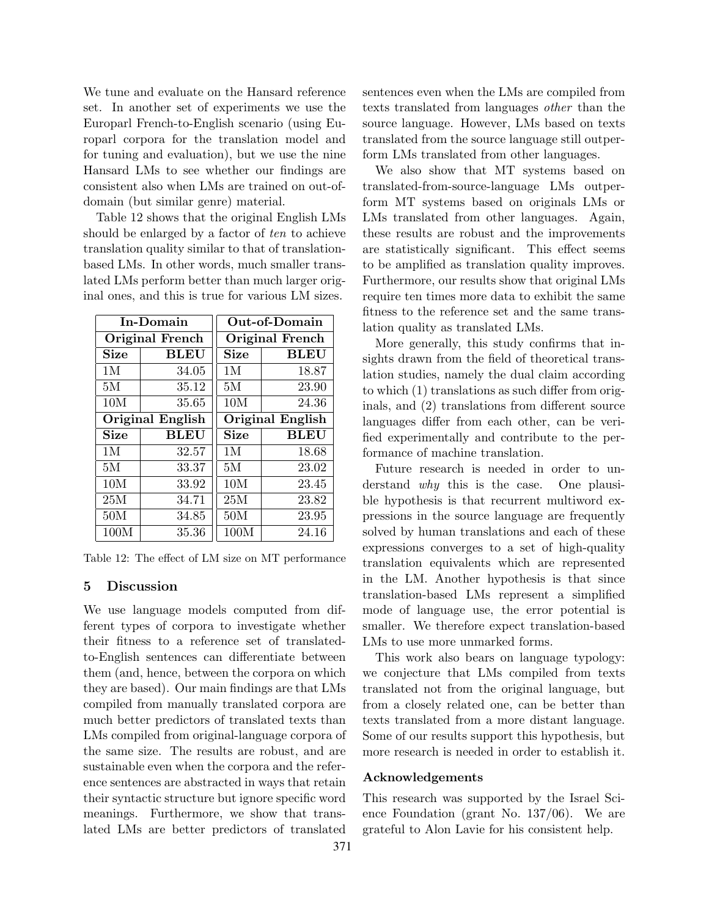We tune and evaluate on the Hansard reference set. In another set of experiments we use the Europarl French-to-English scenario (using Europarl corpora for the translation model and for tuning and evaluation), but we use the nine Hansard LMs to see whether our findings are consistent also when LMs are trained on out-ofdomain (but similar genre) material.

Table 12 shows that the original English LMs should be enlarged by a factor of ten to achieve translation quality similar to that of translationbased LMs. In other words, much smaller translated LMs perform better than much larger original ones, and this is true for various LM sizes.

|             | In-Domain               |             | Out-of-Domain           |
|-------------|-------------------------|-------------|-------------------------|
|             | <b>Original French</b>  |             | <b>Original French</b>  |
| Size        | <b>BLEU</b>             | <b>Size</b> | <b>BLEU</b>             |
| 1M          | 34.05                   | 1 M         | 18.87                   |
| 5M          | 35.12                   | 5M          | 23.90                   |
| 10M         | 35.65                   | 10M         | 24.36                   |
|             | <b>Original English</b> |             | <b>Original English</b> |
|             |                         |             |                         |
| <b>Size</b> | <b>BLEU</b>             | <b>Size</b> | <b>BLEU</b>             |
| 1 M         | 32.57                   | 1M          | 18.68                   |
| 5М          | 33.37                   | 5M          | 23.02                   |
| 10M         | 33.92                   | 10M         | 23.45                   |
| 25M         | 34.71                   | 25M         | 23.82                   |
| 50M         | 34.85                   | 50M         | 23.95                   |

Table 12: The effect of LM size on MT performance

## 5 Discussion

We use language models computed from different types of corpora to investigate whether their fitness to a reference set of translatedto-English sentences can differentiate between them (and, hence, between the corpora on which they are based). Our main findings are that LMs compiled from manually translated corpora are much better predictors of translated texts than LMs compiled from original-language corpora of the same size. The results are robust, and are sustainable even when the corpora and the reference sentences are abstracted in ways that retain their syntactic structure but ignore specific word meanings. Furthermore, we show that translated LMs are better predictors of translated

sentences even when the LMs are compiled from texts translated from languages other than the source language. However, LMs based on texts translated from the source language still outperform LMs translated from other languages.

We also show that MT systems based on translated-from-source-language LMs outperform MT systems based on originals LMs or LMs translated from other languages. Again, these results are robust and the improvements are statistically significant. This effect seems to be amplified as translation quality improves. Furthermore, our results show that original LMs require ten times more data to exhibit the same fitness to the reference set and the same translation quality as translated LMs.

More generally, this study confirms that insights drawn from the field of theoretical translation studies, namely the dual claim according to which (1) translations as such differ from originals, and (2) translations from different source languages differ from each other, can be verified experimentally and contribute to the performance of machine translation.

Future research is needed in order to understand why this is the case. One plausible hypothesis is that recurrent multiword expressions in the source language are frequently solved by human translations and each of these expressions converges to a set of high-quality translation equivalents which are represented in the LM. Another hypothesis is that since translation-based LMs represent a simplified mode of language use, the error potential is smaller. We therefore expect translation-based LMs to use more unmarked forms.

This work also bears on language typology: we conjecture that LMs compiled from texts translated not from the original language, but from a closely related one, can be better than texts translated from a more distant language. Some of our results support this hypothesis, but more research is needed in order to establish it.

# Acknowledgements

This research was supported by the Israel Science Foundation (grant No. 137/06). We are grateful to Alon Lavie for his consistent help.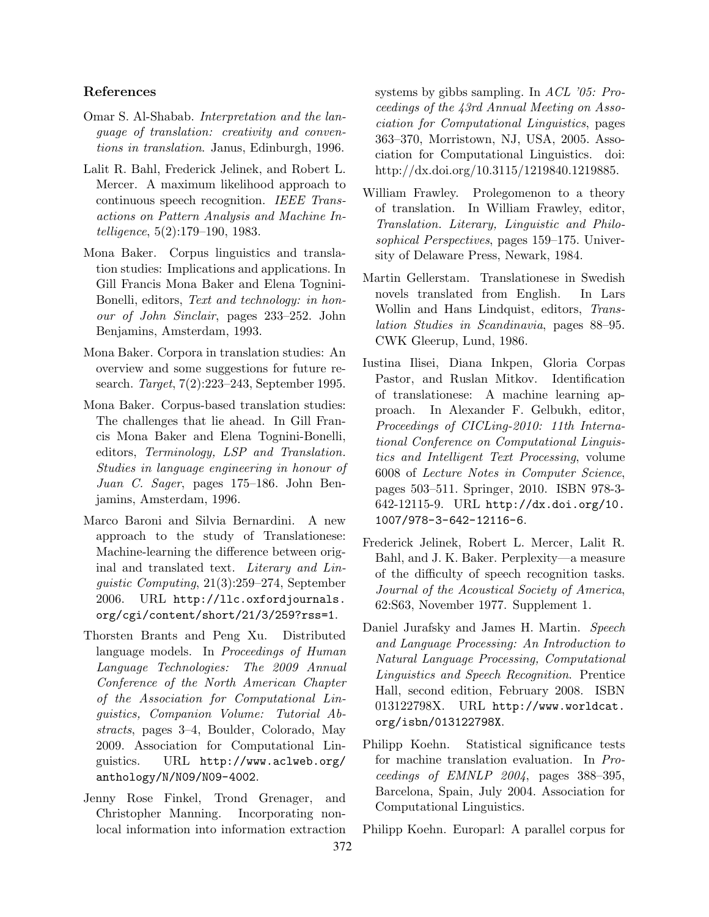# References

- Omar S. Al-Shabab. Interpretation and the language of translation: creativity and conventions in translation. Janus, Edinburgh, 1996.
- Lalit R. Bahl, Frederick Jelinek, and Robert L. Mercer. A maximum likelihood approach to continuous speech recognition. IEEE Transactions on Pattern Analysis and Machine Intelligence, 5(2):179–190, 1983.
- Mona Baker. Corpus linguistics and translation studies: Implications and applications. In Gill Francis Mona Baker and Elena Tognini-Bonelli, editors, Text and technology: in honour of John Sinclair, pages 233–252. John Benjamins, Amsterdam, 1993.
- Mona Baker. Corpora in translation studies: An overview and some suggestions for future research. Target, 7(2):223–243, September 1995.
- Mona Baker. Corpus-based translation studies: The challenges that lie ahead. In Gill Francis Mona Baker and Elena Tognini-Bonelli, editors, Terminology, LSP and Translation. Studies in language engineering in honour of Juan C. Sager, pages 175–186. John Benjamins, Amsterdam, 1996.
- Marco Baroni and Silvia Bernardini. A new approach to the study of Translationese: Machine-learning the difference between original and translated text. Literary and Linguistic Computing, 21(3):259–274, September 2006. URL http://llc.oxfordjournals. org/cgi/content/short/21/3/259?rss=1.
- Thorsten Brants and Peng Xu. Distributed language models. In *Proceedings of Human* Language Technologies: The 2009 Annual Conference of the North American Chapter of the Association for Computational Linguistics, Companion Volume: Tutorial Abstracts, pages 3–4, Boulder, Colorado, May 2009. Association for Computational Linguistics. URL http://www.aclweb.org/ anthology/N/N09/N09-4002.
- Jenny Rose Finkel, Trond Grenager, and Christopher Manning. Incorporating nonlocal information into information extraction

systems by gibbs sampling. In ACL '05: Proceedings of the 43rd Annual Meeting on Association for Computational Linguistics, pages 363–370, Morristown, NJ, USA, 2005. Association for Computational Linguistics. doi: http://dx.doi.org/10.3115/1219840.1219885.

- William Frawley. Prolegomenon to a theory of translation. In William Frawley, editor, Translation. Literary, Linguistic and Philosophical Perspectives, pages 159–175. University of Delaware Press, Newark, 1984.
- Martin Gellerstam. Translationese in Swedish novels translated from English. In Lars Wollin and Hans Lindquist, editors, Translation Studies in Scandinavia, pages 88–95. CWK Gleerup, Lund, 1986.
- Iustina Ilisei, Diana Inkpen, Gloria Corpas Pastor, and Ruslan Mitkov. Identification of translationese: A machine learning approach. In Alexander F. Gelbukh, editor, Proceedings of CICLing-2010: 11th International Conference on Computational Linguistics and Intelligent Text Processing, volume 6008 of Lecture Notes in Computer Science, pages 503–511. Springer, 2010. ISBN 978-3- 642-12115-9. URL http://dx.doi.org/10. 1007/978-3-642-12116-6.
- Frederick Jelinek, Robert L. Mercer, Lalit R. Bahl, and J. K. Baker. Perplexity—a measure of the difficulty of speech recognition tasks. Journal of the Acoustical Society of America, 62:S63, November 1977. Supplement 1.
- Daniel Jurafsky and James H. Martin. Speech and Language Processing: An Introduction to Natural Language Processing, Computational Linguistics and Speech Recognition. Prentice Hall, second edition, February 2008. ISBN 013122798X. URL http://www.worldcat. org/isbn/013122798X.
- Philipp Koehn. Statistical significance tests for machine translation evaluation. In Proceedings of EMNLP 2004, pages 388–395, Barcelona, Spain, July 2004. Association for Computational Linguistics.

Philipp Koehn. Europarl: A parallel corpus for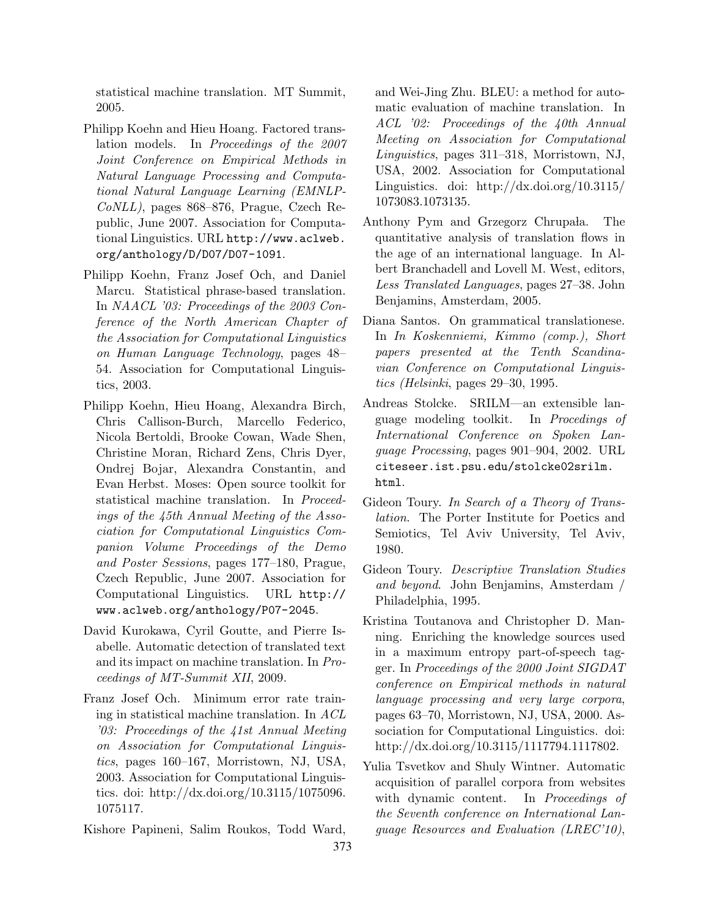statistical machine translation. MT Summit, 2005.

- Philipp Koehn and Hieu Hoang. Factored translation models. In Proceedings of the 2007 Joint Conference on Empirical Methods in Natural Language Processing and Computational Natural Language Learning (EMNLP-CoNLL), pages 868–876, Prague, Czech Republic, June 2007. Association for Computational Linguistics. URL http://www.aclweb. org/anthology/D/D07/D07-1091.
- Philipp Koehn, Franz Josef Och, and Daniel Marcu. Statistical phrase-based translation. In NAACL '03: Proceedings of the 2003 Conference of the North American Chapter of the Association for Computational Linguistics on Human Language Technology, pages 48– 54. Association for Computational Linguistics, 2003.
- Philipp Koehn, Hieu Hoang, Alexandra Birch, Chris Callison-Burch, Marcello Federico, Nicola Bertoldi, Brooke Cowan, Wade Shen, Christine Moran, Richard Zens, Chris Dyer, Ondrej Bojar, Alexandra Constantin, and Evan Herbst. Moses: Open source toolkit for statistical machine translation. In Proceedings of the 45th Annual Meeting of the Association for Computational Linguistics Companion Volume Proceedings of the Demo and Poster Sessions, pages 177–180, Prague, Czech Republic, June 2007. Association for Computational Linguistics. URL http:// www.aclweb.org/anthology/P07-2045.
- David Kurokawa, Cyril Goutte, and Pierre Isabelle. Automatic detection of translated text and its impact on machine translation. In Proceedings of MT-Summit XII, 2009.
- Franz Josef Och. Minimum error rate training in statistical machine translation. In ACL '03: Proceedings of the 41st Annual Meeting on Association for Computational Linguistics, pages 160–167, Morristown, NJ, USA, 2003. Association for Computational Linguistics. doi: http://dx.doi.org/10.3115/1075096. 1075117.
- Kishore Papineni, Salim Roukos, Todd Ward,

and Wei-Jing Zhu. BLEU: a method for automatic evaluation of machine translation. In ACL '02: Proceedings of the 40th Annual Meeting on Association for Computational Linguistics, pages 311–318, Morristown, NJ, USA, 2002. Association for Computational Linguistics. doi: http://dx.doi.org/10.3115/ 1073083.1073135.

- Anthony Pym and Grzegorz Chrupala. The quantitative analysis of translation flows in the age of an international language. In Albert Branchadell and Lovell M. West, editors, Less Translated Languages, pages 27–38. John Benjamins, Amsterdam, 2005.
- Diana Santos. On grammatical translationese. In In Koskenniemi, Kimmo (comp.), Short papers presented at the Tenth Scandinavian Conference on Computational Linguistics (Helsinki, pages 29–30, 1995.
- Andreas Stolcke. SRILM—an extensible language modeling toolkit. In Procedings of International Conference on Spoken Language Processing, pages 901–904, 2002. URL citeseer.ist.psu.edu/stolcke02srilm. html.
- Gideon Toury. In Search of a Theory of Translation. The Porter Institute for Poetics and Semiotics, Tel Aviv University, Tel Aviv, 1980.
- Gideon Toury. Descriptive Translation Studies and beyond. John Benjamins, Amsterdam / Philadelphia, 1995.
- Kristina Toutanova and Christopher D. Manning. Enriching the knowledge sources used in a maximum entropy part-of-speech tagger. In Proceedings of the 2000 Joint SIGDAT conference on Empirical methods in natural language processing and very large corpora, pages 63–70, Morristown, NJ, USA, 2000. Association for Computational Linguistics. doi: http://dx.doi.org/10.3115/1117794.1117802.
- Yulia Tsvetkov and Shuly Wintner. Automatic acquisition of parallel corpora from websites with dynamic content. In *Proceedings of* the Seventh conference on International Language Resources and Evaluation (LREC'10),